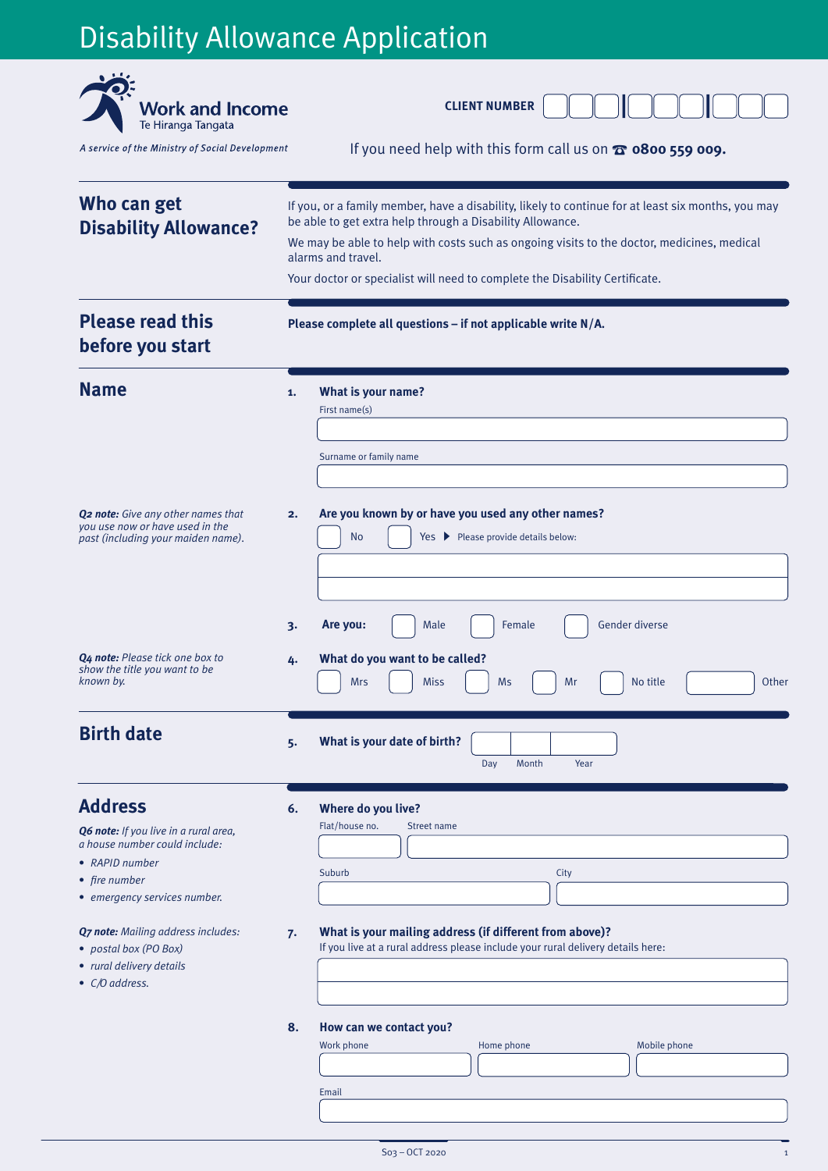# Disability Allowance Application

| <b>Work and Income</b><br>Te Hiranga Tangata                                                                                                                |                                                                                                                                                                                                                                                                                                                                                                    | <b>CLIENT NUMBER</b>                                                                                                                                |  |  |  |
|-------------------------------------------------------------------------------------------------------------------------------------------------------------|--------------------------------------------------------------------------------------------------------------------------------------------------------------------------------------------------------------------------------------------------------------------------------------------------------------------------------------------------------------------|-----------------------------------------------------------------------------------------------------------------------------------------------------|--|--|--|
| A service of the Ministry of Social Development                                                                                                             |                                                                                                                                                                                                                                                                                                                                                                    | If you need help with this form call us on $\omega$ 0800 559 009.                                                                                   |  |  |  |
| Who can get<br><b>Disability Allowance?</b>                                                                                                                 | If you, or a family member, have a disability, likely to continue for at least six months, you may<br>be able to get extra help through a Disability Allowance.<br>We may be able to help with costs such as ongoing visits to the doctor, medicines, medical<br>alarms and travel.<br>Your doctor or specialist will need to complete the Disability Certificate. |                                                                                                                                                     |  |  |  |
| <b>Please read this</b><br>before you start                                                                                                                 | Please complete all questions - if not applicable write N/A.                                                                                                                                                                                                                                                                                                       |                                                                                                                                                     |  |  |  |
| <b>Name</b>                                                                                                                                                 | 1.                                                                                                                                                                                                                                                                                                                                                                 | What is your name?<br>First name(s)<br>Surname or family name                                                                                       |  |  |  |
| <b>Q2 note:</b> Give any other names that<br>you use now or have used in the<br>past (including your maiden name).                                          | 2.                                                                                                                                                                                                                                                                                                                                                                 | Are you known by or have you used any other names?<br><b>No</b><br>Yes ▶ Please provide details below:                                              |  |  |  |
| <b>Q4 note:</b> Please tick one box to<br>show the title you want to be<br>known by.                                                                        | 3.<br>4.                                                                                                                                                                                                                                                                                                                                                           | Gender diverse<br>Are you:<br>Female<br>Male<br>What do you want to be called?<br><b>Mrs</b><br><b>Miss</b><br><b>Ms</b><br>Mr<br>No title<br>Other |  |  |  |
| <b>Birth date</b>                                                                                                                                           | 5.                                                                                                                                                                                                                                                                                                                                                                 | What is your date of birth?<br>Month<br>Day<br>Year                                                                                                 |  |  |  |
| <b>Address</b><br>Q6 note: If you live in a rural area,<br>a house number could include:<br>• RAPID number<br>• fire number<br>• emergency services number. | 6.                                                                                                                                                                                                                                                                                                                                                                 | Where do you live?<br>Flat/house no.<br>Street name<br>Suburb<br>City                                                                               |  |  |  |
| <b>Q7 note:</b> Mailing address includes:<br>• postal box (PO Box)<br>• rural delivery details<br>• C/O address.                                            | 7.                                                                                                                                                                                                                                                                                                                                                                 | What is your mailing address (if different from above)?<br>If you live at a rural address please include your rural delivery details here:          |  |  |  |
| 8.                                                                                                                                                          |                                                                                                                                                                                                                                                                                                                                                                    | How can we contact you?<br>Work phone<br>Mobile phone<br>Home phone<br>Email                                                                        |  |  |  |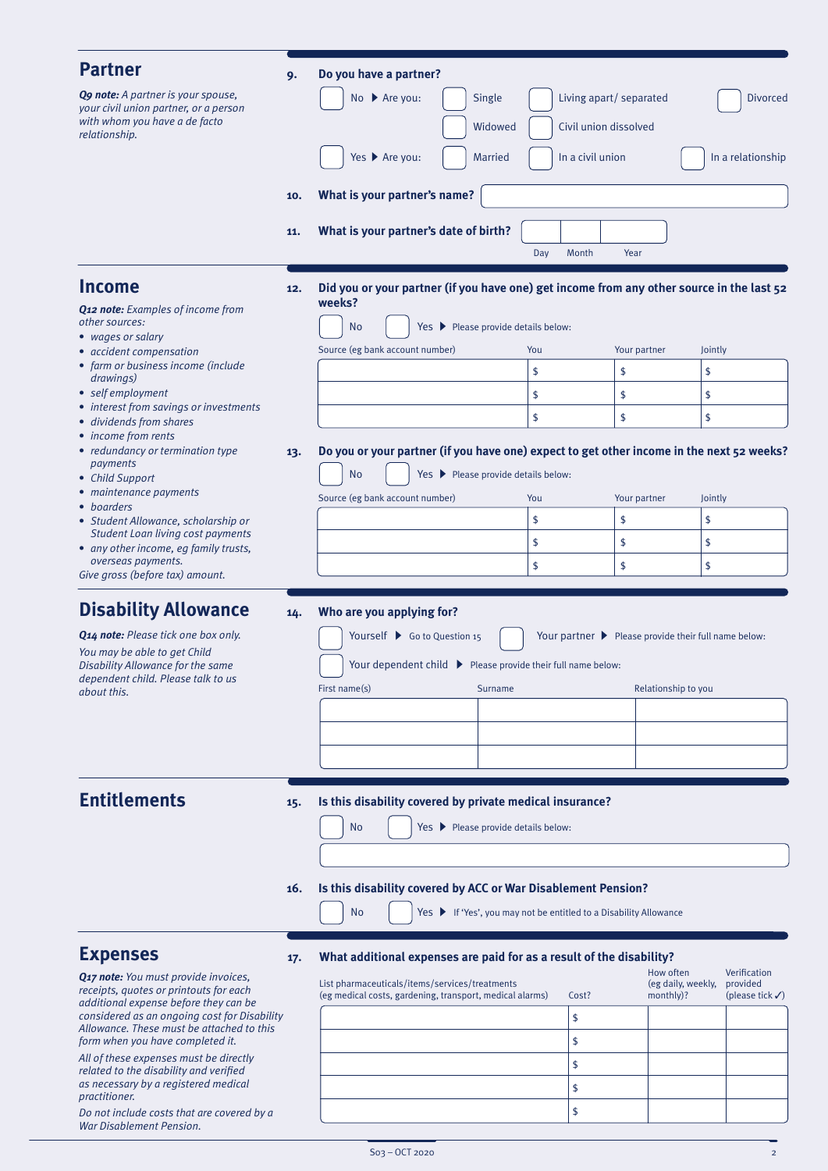| <b>Partner</b>                                                                                                                                                | 9.         | Do you have a partner?                                                                                                                                                                                                                                   |                                                                                                                  |  |  |  |
|---------------------------------------------------------------------------------------------------------------------------------------------------------------|------------|----------------------------------------------------------------------------------------------------------------------------------------------------------------------------------------------------------------------------------------------------------|------------------------------------------------------------------------------------------------------------------|--|--|--|
| <b>Q9 note:</b> A partner is your spouse,<br>your civil union partner, or a person<br>with whom you have a de facto                                           |            | No ▶ Are you:<br>Single<br>Widowed                                                                                                                                                                                                                       | Living apart/ separated<br><b>Divorced</b><br>Civil union dissolved                                              |  |  |  |
| relationship.                                                                                                                                                 |            | Yes ▶ Are you:<br><b>Married</b>                                                                                                                                                                                                                         | In a civil union<br>In a relationship                                                                            |  |  |  |
|                                                                                                                                                               | 10.        | What is your partner's name?                                                                                                                                                                                                                             |                                                                                                                  |  |  |  |
|                                                                                                                                                               | 11.        | What is your partner's date of birth?                                                                                                                                                                                                                    |                                                                                                                  |  |  |  |
|                                                                                                                                                               |            |                                                                                                                                                                                                                                                          | Month<br>Day<br>Year                                                                                             |  |  |  |
| <b>Income</b><br><b>Q12 note:</b> Examples of income from<br>other sources:<br>• wages or salary                                                              | 12.        | weeks?<br><b>No</b><br>Yes > Please provide details below:                                                                                                                                                                                               | Did you or your partner (if you have one) get income from any other source in the last 52                        |  |  |  |
| • accident compensation                                                                                                                                       |            | Source (eg bank account number)                                                                                                                                                                                                                          | You<br>Your partner<br>Jointly                                                                                   |  |  |  |
| • farm or business income (include<br>drawings)                                                                                                               |            |                                                                                                                                                                                                                                                          | \$<br>\$<br>\$                                                                                                   |  |  |  |
| • self employment<br>• interest from savings or investments                                                                                                   |            |                                                                                                                                                                                                                                                          | \$<br>\$<br>\$                                                                                                   |  |  |  |
| · dividends from shares<br>• income from rents                                                                                                                |            |                                                                                                                                                                                                                                                          | \$<br>\$<br>\$                                                                                                   |  |  |  |
| • redundancy or termination type<br>payments<br>• Child Support<br>• maintenance payments                                                                     | 13.        | Do you or your partner (if you have one) expect to get other income in the next 52 weeks?<br><b>No</b><br>Yes ▶ Please provide details below:<br>Source (eg bank account number)<br>Your partner<br>You<br>Jointly                                       |                                                                                                                  |  |  |  |
| • boarders<br>• Student Allowance, scholarship or                                                                                                             |            |                                                                                                                                                                                                                                                          | \$<br>\$<br>\$                                                                                                   |  |  |  |
| <b>Student Loan living cost payments</b><br>• any other income, eg family trusts,                                                                             |            |                                                                                                                                                                                                                                                          | \$<br>\$<br>\$                                                                                                   |  |  |  |
| overseas payments.<br>Give gross (before tax) amount.                                                                                                         |            |                                                                                                                                                                                                                                                          | \$<br>\$<br>\$                                                                                                   |  |  |  |
| <b>Disability Allowance</b>                                                                                                                                   | 14.        | Who are you applying for?                                                                                                                                                                                                                                |                                                                                                                  |  |  |  |
| Q14 note: Please tick one box only.<br>You may be able to get Child<br>Disability Allowance for the same<br>dependent child. Please talk to us<br>about this. |            | Yourself ▶ Go to Question 15<br>Your dependent child ▶ Please provide their full name below:<br>First name(s)<br>Surname                                                                                                                                 | Your partner ▶ Please provide their full name below:<br>Relationship to you                                      |  |  |  |
|                                                                                                                                                               |            |                                                                                                                                                                                                                                                          |                                                                                                                  |  |  |  |
| <b>Entitlements</b>                                                                                                                                           | 15.<br>16. | Is this disability covered by private medical insurance?<br>Yes > Please provide details below:<br>No<br>Is this disability covered by ACC or War Disablement Pension?<br><b>No</b><br>Yes ▶ If 'Yes', you may not be entitled to a Disability Allowance |                                                                                                                  |  |  |  |
| <b>Expenses</b>                                                                                                                                               | 17.        | What additional expenses are paid for as a result of the disability?                                                                                                                                                                                     |                                                                                                                  |  |  |  |
| Q17 note: You must provide invoices,<br>receipts, quotes or printouts for each<br>additional expense before they can be                                       |            | List pharmaceuticals/items/services/treatments<br>(eg medical costs, gardening, transport, medical alarms)                                                                                                                                               | How often<br>Verification<br>(eg daily, weekly,<br>provided<br>monthly)?<br>(please tick $\checkmark$ )<br>Cost? |  |  |  |
| considered as an ongoing cost for Disability<br>Allowance. These must be attached to this                                                                     |            |                                                                                                                                                                                                                                                          | \$                                                                                                               |  |  |  |
| form when you have completed it.<br>All of these expenses must be directly                                                                                    |            |                                                                                                                                                                                                                                                          | \$                                                                                                               |  |  |  |
| related to the disability and verified                                                                                                                        |            |                                                                                                                                                                                                                                                          | \$                                                                                                               |  |  |  |

*as necessary by a registered medical practitioner. Do not include costs that are covered by a* 

*War Disablement Pension.*

\$ \$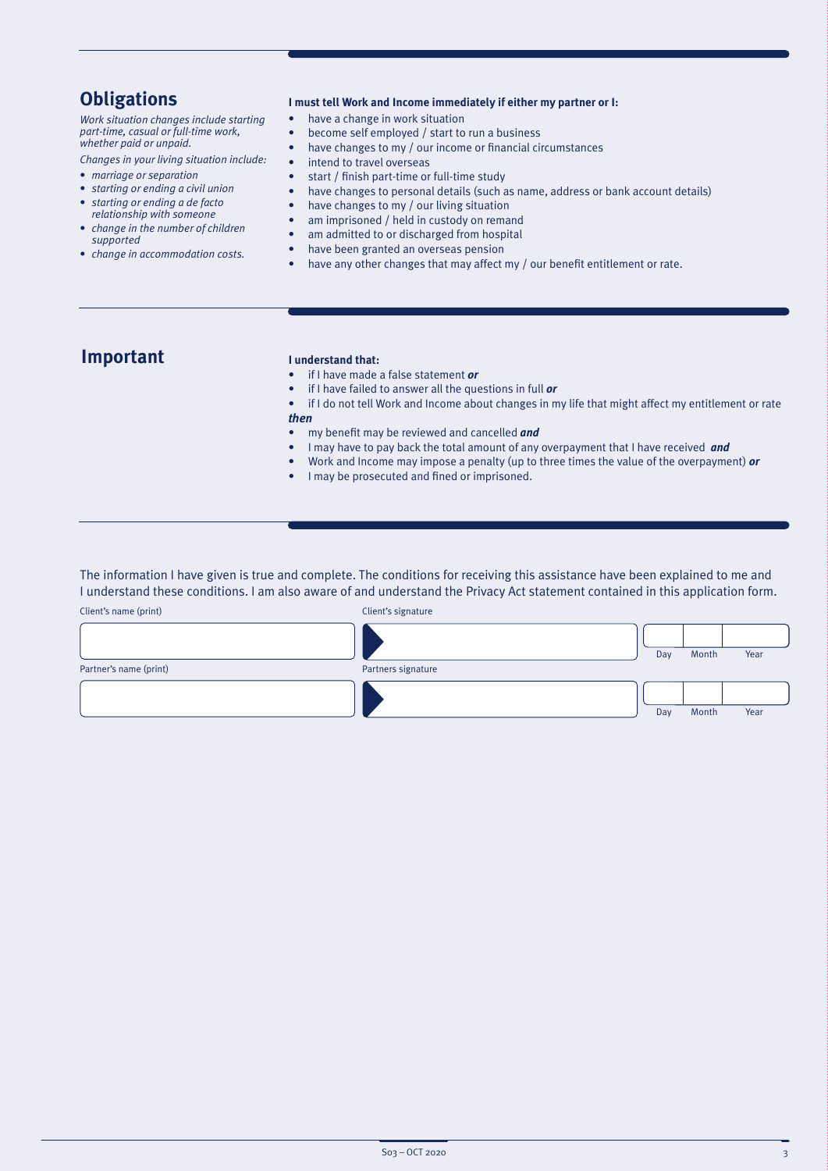## **Obligations**

*Work situation changes include starting part-time, casual or full-time work, whether paid or unpaid.*

*Changes in your living situation include:*

- *marriage or separation*
- *starting or ending a civil union*
- *starting or ending a de facto relationship with someone*
- *change in the number of children supported*
- *change in accommodation costs.*

#### **I must tell Work and Income immediately if either my partner or I:**

- have a change in work situation
- become self employed / start to run a business
- have changes to my / our income or financial circumstances
- intend to travel overseas
- start / finish part-time or full-time study
- have changes to personal details (such as name, address or bank account details)
- have changes to my / our living situation
- am imprisoned / held in custody on remand
- am admitted to or discharged from hospital
- have been granted an overseas pension
- have any other changes that may affect my / our benefit entitlement or rate.

## **Important**

#### **I understand that:**

- if I have made a false statement *or*
- if I have failed to answer all the questions in full *or*
- if I do not tell Work and Income about changes in my life that might affect my entitlement or rate *then*
- my benefit may be reviewed and cancelled *and*
- I may have to pay back the total amount of any overpayment that I have received *and*
- Work and Income may impose a penalty (up to three times the value of the overpayment) *or*
- I may be prosecuted and fined or imprisoned.

The information I have given is true and complete. The conditions for receiving this assistance have been explained to me and I understand these conditions. I am also aware of and understand the Privacy Act statement contained in this application form.

| Client's name (print)  | Client's signature |     |       |      |
|------------------------|--------------------|-----|-------|------|
|                        |                    | Day | Month | Year |
| Partner's name (print) | Partners signature |     |       |      |
|                        |                    |     |       |      |
|                        |                    | Day | Month | Year |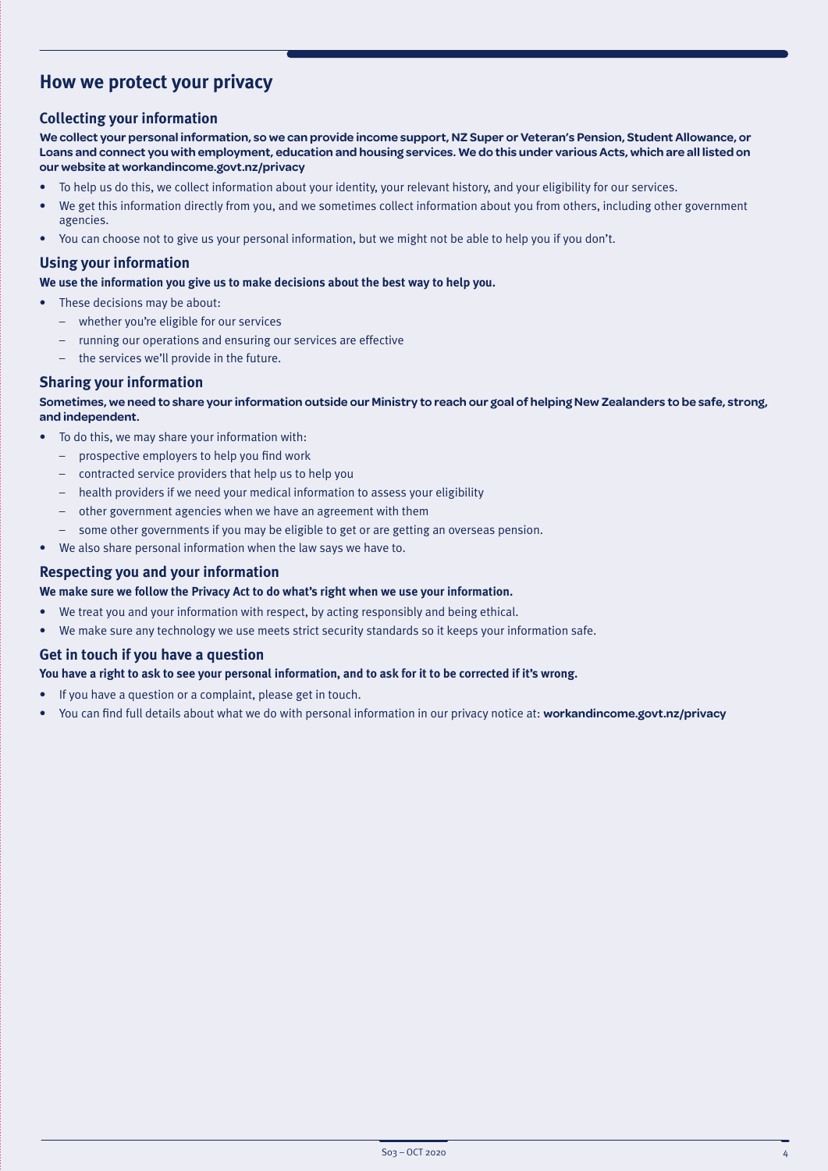## **How we protect your privacy**

### **Collecting your information**

**We collect your personal information, so we can provide income support, NZ Super or Veteran's Pension, Student Allowance, or Loans and connect you with employment, education and housing services. We do this under various Acts, which are all listed on our website at [workandincome.govt.nz/p](http://www.workandincome.govt.nz/about-work-and-income/privacy-notice/index.html)rivacy**

- To help us do this, we collect information about your identity, your relevant history, and your eligibility for our services.
- We get this information directly from you, and we sometimes collect information about you from others, including other government agencies.
- You can choose not to give us your personal information, but we might not be able to help you if you don't.

#### **Using your information**

**We use the information you give us to make decisions about the best way to help you.**

- These decisions may be about:
	- whether you're eligible for our services
	- running our operations and ensuring our services are effective
	- the services we'll provide in the future.

### **Sharing your information**

#### **Sometimes, we need to share your information outside our Ministry to reach our goal of helping New Zealanders to be safe, strong, and independent.**

- To do this, we may share your information with:
	- prospective employers to help you find work
	- contracted service providers that help us to help you
	- health providers if we need your medical information to assess your eligibility
	- other government agencies when we have an agreement with them
	- some other governments if you may be eligible to get or are getting an overseas pension.
- We also share personal information when the law says we have to.

### **Respecting you and your information**

#### **We make sure we follow the Privacy Act to do what's right when we use your information.**

- We treat you and your information with respect, by acting responsibly and being ethical.
- We make sure any technology we use meets strict security standards so it keeps your information safe.

#### **Get in touch if you have a question**

#### **You have a right to ask to see your personal information, and to ask for it to be corrected if it's wrong.**

- If you have a question or a complaint, please get in touch.
- You can find full details about what we do with personal information in our privacy notice at: **[workandincome.govt.nz/p](http://www.workandincome.govt.nz/about-work-and-income/privacy-notice/index.html)rivacy**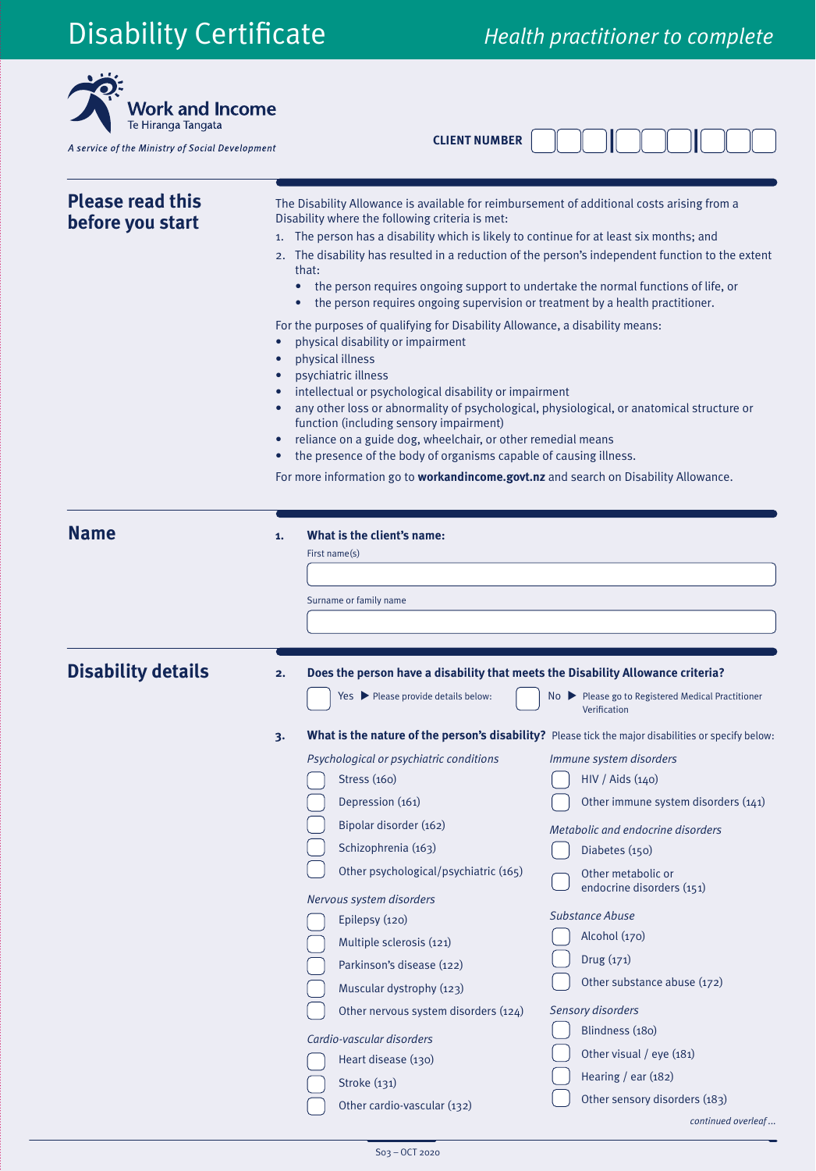# Disability Certificate *Health practitioner to complete*

 $\ddot{\phantom{a}}$ 

| Te Hiranga Tangata<br>A service of the Ministry of Social Development |           | <b>CLIENT NUMBER</b>                                                                                                                                                                                                                                                                                                                                                                                                                                                                                                                                                                                                                                                                                                                                                                                                                                                                                                                                                                                                                                                                                                        |                                                                                                                                                                                                                                                                                                                                                                                                                                                                                                                                                  |  |  |  |
|-----------------------------------------------------------------------|-----------|-----------------------------------------------------------------------------------------------------------------------------------------------------------------------------------------------------------------------------------------------------------------------------------------------------------------------------------------------------------------------------------------------------------------------------------------------------------------------------------------------------------------------------------------------------------------------------------------------------------------------------------------------------------------------------------------------------------------------------------------------------------------------------------------------------------------------------------------------------------------------------------------------------------------------------------------------------------------------------------------------------------------------------------------------------------------------------------------------------------------------------|--------------------------------------------------------------------------------------------------------------------------------------------------------------------------------------------------------------------------------------------------------------------------------------------------------------------------------------------------------------------------------------------------------------------------------------------------------------------------------------------------------------------------------------------------|--|--|--|
| <b>Please read this</b><br>before you start                           | $\bullet$ | The Disability Allowance is available for reimbursement of additional costs arising from a<br>Disability where the following criteria is met:<br>1. The person has a disability which is likely to continue for at least six months; and<br>2. The disability has resulted in a reduction of the person's independent function to the extent<br>that:<br>the person requires ongoing support to undertake the normal functions of life, or<br>the person requires ongoing supervision or treatment by a health practitioner.<br>For the purposes of qualifying for Disability Allowance, a disability means:<br>physical disability or impairment<br>physical illness<br>psychiatric illness<br>intellectual or psychological disability or impairment<br>any other loss or abnormality of psychological, physiological, or anatomical structure or<br>function (including sensory impairment)<br>reliance on a guide dog, wheelchair, or other remedial means<br>the presence of the body of organisms capable of causing illness.<br>For more information go to workandincome.govt.nz and search on Disability Allowance. |                                                                                                                                                                                                                                                                                                                                                                                                                                                                                                                                                  |  |  |  |
| <b>Name</b>                                                           | 1.        | What is the client's name:<br>First $name(s)$<br>Surname or family name                                                                                                                                                                                                                                                                                                                                                                                                                                                                                                                                                                                                                                                                                                                                                                                                                                                                                                                                                                                                                                                     |                                                                                                                                                                                                                                                                                                                                                                                                                                                                                                                                                  |  |  |  |
| <b>Disability details</b>                                             |           | Does the person have a disability that meets the Disability Allowance criteria?<br>Yes > Please provide details below:                                                                                                                                                                                                                                                                                                                                                                                                                                                                                                                                                                                                                                                                                                                                                                                                                                                                                                                                                                                                      | No ▶ Please go to Registered Medical Practitioner                                                                                                                                                                                                                                                                                                                                                                                                                                                                                                |  |  |  |
|                                                                       | 3.        | Psychological or psychiatric conditions<br>Stress $(160)$<br>Depression (161)<br>Bipolar disorder (162)<br>Schizophrenia (163)<br>Other psychological/psychiatric (165)<br>Nervous system disorders<br>Epilepsy (120)<br>Multiple sclerosis (121)<br>Parkinson's disease (122)<br>Muscular dystrophy (123)<br>Other nervous system disorders (124)<br>Cardio-vascular disorders<br>Heart disease (130)<br>Stroke (131)<br>Other cardio-vascular (132)                                                                                                                                                                                                                                                                                                                                                                                                                                                                                                                                                                                                                                                                       | Verification<br>What is the nature of the person's disability? Please tick the major disabilities or specify below:<br>Immune system disorders<br>HIV / Aids (140)<br>Other immune system disorders (141)<br>Metabolic and endocrine disorders<br>Diabetes (150)<br>Other metabolic or<br>endocrine disorders (151)<br><b>Substance Abuse</b><br>Alcohol (170)<br>Drug (171)<br>Other substance abuse (172)<br><b>Sensory disorders</b><br>Blindness (180)<br>Other visual / eye (181)<br>Hearing / ear $(182)$<br>Other sensory disorders (183) |  |  |  |